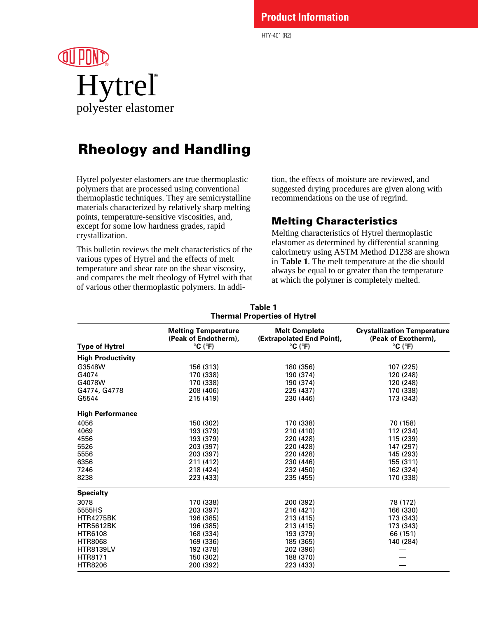### **Product Information**

HTY-401 (R2)

# ® polyester elastomer Hytrel®

# Rheology and Handling

Hytrel polyester elastomers are true thermoplastic polymers that are processed using conventional thermoplastic techniques. They are semicrystalline materials characterized by relatively sharp melting points, temperature-sensitive viscosities, and, except for some low hardness grades, rapid crystallization.

This bulletin reviews the melt characteristics of the various types of Hytrel and the effects of melt temperature and shear rate on the shear viscosity, and compares the melt rheology of Hytrel with that of various other thermoplastic polymers. In addi-

tion, the effects of moisture are reviewed, and suggested drying procedures are given along with recommendations on the use of regrind.

### Melting Characteristics

Melting characteristics of Hytrel thermoplastic elastomer as determined by differential scanning calorimetry using ASTM Method D1238 are shown in **Table 1**. The melt temperature at the die should always be equal to or greater than the temperature at which the polymer is completely melted.

| Thermal Properties of Hytrel |                                                                                    |                                                                                   |                                                                                           |  |  |
|------------------------------|------------------------------------------------------------------------------------|-----------------------------------------------------------------------------------|-------------------------------------------------------------------------------------------|--|--|
| <b>Type of Hytrel</b>        | <b>Melting Temperature</b><br>(Peak of Endotherm),<br>$^{\circ}$ C ( $^{\circ}$ F) | <b>Melt Complete</b><br>(Extrapolated End Point),<br>$^{\circ}$ C ( $^{\circ}$ F) | <b>Crystallization Temperature</b><br>(Peak of Exotherm),<br>$^{\circ}$ C ( $^{\circ}$ F) |  |  |
| <b>High Productivity</b>     |                                                                                    |                                                                                   |                                                                                           |  |  |
| G3548W                       | 156 (313)                                                                          | 180 (356)                                                                         | 107 (225)                                                                                 |  |  |
| G4074                        | 170 (338)                                                                          | 190 (374)                                                                         | 120 (248)                                                                                 |  |  |
| G4078W                       | 170 (338)                                                                          | 190 (374)                                                                         | 120 (248)                                                                                 |  |  |
| G4774, G4778                 | 208 (406)                                                                          | 225 (437)                                                                         | 170 (338)                                                                                 |  |  |
| G5544                        | 215 (419)                                                                          | 230 (446)                                                                         | 173 (343)                                                                                 |  |  |
| <b>High Performance</b>      |                                                                                    |                                                                                   |                                                                                           |  |  |
| 4056                         | 150 (302)                                                                          | 170 (338)                                                                         | 70 (158)                                                                                  |  |  |
| 4069                         | 193 (379)                                                                          | 210 (410)                                                                         | 112 (234)                                                                                 |  |  |
| 4556                         | 193 (379)                                                                          | 220 (428)                                                                         | 115 (239)                                                                                 |  |  |
| 5526                         | 203 (397)                                                                          | 220 (428)                                                                         | 147 (297)                                                                                 |  |  |
| 5556                         | 203 (397)                                                                          | 220 (428)                                                                         | 145 (293)                                                                                 |  |  |
| 6356                         | 211 (412)                                                                          | 230 (446)                                                                         | 155 (311)                                                                                 |  |  |
| 7246                         | 218 (424)                                                                          | 232 (450)                                                                         | 162 (324)                                                                                 |  |  |
| 8238                         | 223 (433)                                                                          | 235 (455)                                                                         | 170 (338)                                                                                 |  |  |
| <b>Specialty</b>             |                                                                                    |                                                                                   |                                                                                           |  |  |
| 3078                         | 170 (338)                                                                          | 200 (392)                                                                         | 78 (172)                                                                                  |  |  |
| 5555HS                       | 203 (397)                                                                          | 216 (421)                                                                         | 166 (330)                                                                                 |  |  |
| <b>HTR4275BK</b>             | 196 (385)                                                                          | 213 (415)                                                                         | 173 (343)                                                                                 |  |  |
| <b>HTR5612BK</b>             | 196 (385)                                                                          | 213 (415)                                                                         | 173 (343)                                                                                 |  |  |
| <b>HTR6108</b>               | 168 (334)                                                                          | 193 (379)                                                                         | 66 (151)                                                                                  |  |  |
| <b>HTR8068</b>               | 169 (336)                                                                          | 185 (365)                                                                         | 140 (284)                                                                                 |  |  |
| <b>HTR8139LV</b>             | 192 (378)                                                                          | 202 (396)                                                                         |                                                                                           |  |  |
| <b>HTR8171</b>               | 150 (302)                                                                          | 188 (370)                                                                         |                                                                                           |  |  |
| <b>HTR8206</b>               | 200 (392)                                                                          | 223 (433)                                                                         |                                                                                           |  |  |

#### **Table 1 Thermal Properties of Hytrel**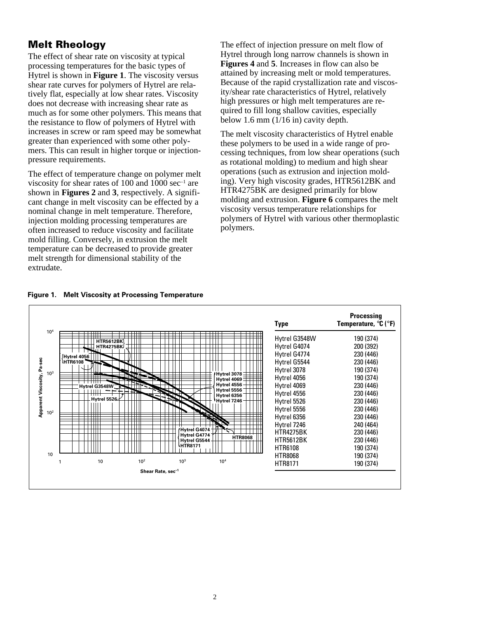### Melt Rheology

The effect of shear rate on viscosity at typical processing temperatures for the basic types of Hytrel is shown in **Figure 1**. The viscosity versus shear rate curves for polymers of Hytrel are relatively flat, especially at low shear rates. Viscosity does not decrease with increasing shear rate as much as for some other polymers. This means that the resistance to flow of polymers of Hytrel with increases in screw or ram speed may be somewhat greater than experienced with some other polymers. This can result in higher torque or injectionpressure requirements.

The effect of temperature change on polymer melt viscosity for shear rates of 100 and 1000  $sec^{-1}$  are shown in **Figures 2** and **3**, respectively. A significant change in melt viscosity can be effected by a nominal change in melt temperature. Therefore, injection molding processing temperatures are often increased to reduce viscosity and facilitate mold filling. Conversely, in extrusion the melt temperature can be decreased to provide greater melt strength for dimensional stability of the extrudate.

The effect of injection pressure on melt flow of Hytrel through long narrow channels is shown in **Figures 4** and **5**. Increases in flow can also be attained by increasing melt or mold temperatures. Because of the rapid crystallization rate and viscosity/shear rate characteristics of Hytrel, relatively high pressures or high melt temperatures are required to fill long shallow cavities, especially below 1.6 mm (1/16 in) cavity depth.

The melt viscosity characteristics of Hytrel enable these polymers to be used in a wide range of processing techniques, from low shear operations (such as rotational molding) to medium and high shear operations (such as extrusion and injection molding). Very high viscosity grades, HTR5612BK and HTR4275BK are designed primarily for blow molding and extrusion. **Figure 6** compares the melt viscosity versus temperature relationships for polymers of Hytrel with various other thermoplastic polymers.



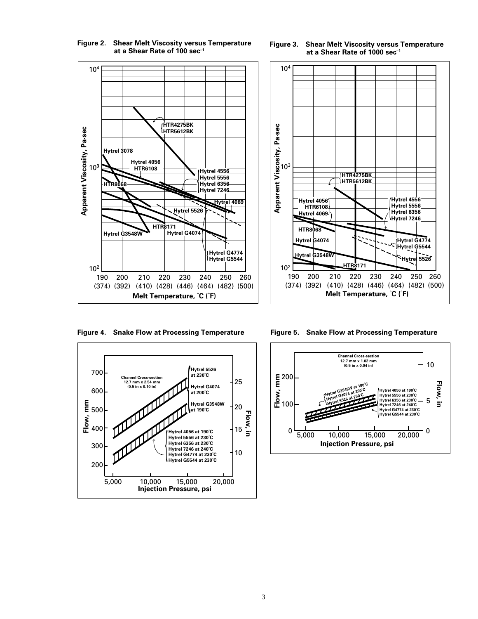

**Figure 2. Shear Melt Viscosity versus Temperature at a Shear Rate of 100 sec–1**



**Figure 4. Snake Flow at Processing Temperature Figure 5. Snake Flow at Processing Temperature**





**Figure 3. Shear Melt Viscosity versus Temperature at a Shear Rate of 1000 sec–1**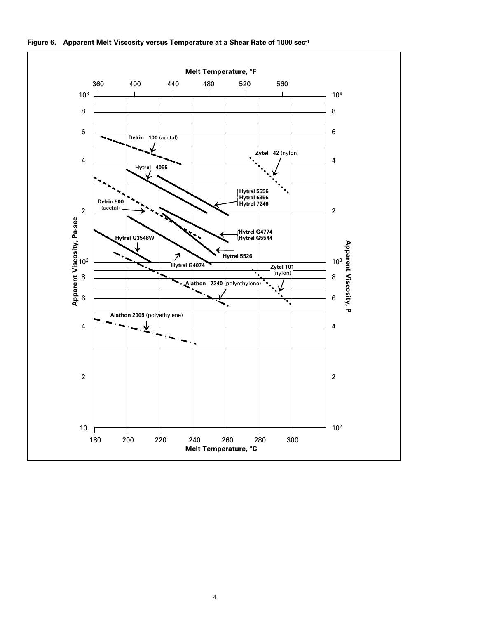

**Figure 6. Apparent Melt Viscosity versus Temperature at a Shear Rate of 1000 sec–1**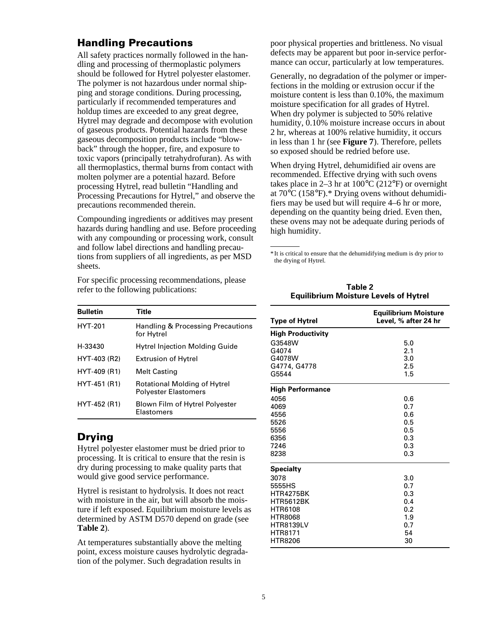### Handling Precautions

All safety practices normally followed in the handling and processing of thermoplastic polymers should be followed for Hytrel polyester elastomer. The polymer is not hazardous under normal shipping and storage conditions. During processing, particularly if recommended temperatures and holdup times are exceeded to any great degree, Hytrel may degrade and decompose with evolution of gaseous products. Potential hazards from these gaseous decomposition products include "blowback" through the hopper, fire, and exposure to toxic vapors (principally tetrahydrofuran). As with all thermoplastics, thermal burns from contact with molten polymer are a potential hazard. Before processing Hytrel, read bulletin "Handling and Processing Precautions for Hytrel," and observe the precautions recommended therein.

Compounding ingredients or additives may present hazards during handling and use. Before proceeding with any compounding or processing work, consult and follow label directions and handling precautions from suppliers of all ingredients, as per MSD sheets.

For specific processing recommendations, please refer to the following publications:

| <b>Bulletin</b> | Title                                                              |
|-----------------|--------------------------------------------------------------------|
| <b>HYT-201</b>  | Handling & Processing Precautions<br>for Hytrel                    |
| H-33430         | <b>Hytrel Injection Molding Guide</b>                              |
| HYT-403 (R2)    | <b>Extrusion of Hytrel</b>                                         |
| HYT-409 (R1)    | <b>Melt Casting</b>                                                |
| HYT-451 (R1)    | <b>Rotational Molding of Hytrel</b><br><b>Polyester Elastomers</b> |
| HYT-452 (R1)    | Blown Film of Hytrel Polyester<br>Elastomers                       |

### Drying

Hytrel polyester elastomer must be dried prior to processing. It is critical to ensure that the resin is dry during processing to make quality parts that would give good service performance.

Hytrel is resistant to hydrolysis. It does not react with moisture in the air, but will absorb the moisture if left exposed. Equilibrium moisture levels as determined by ASTM D570 depend on grade (see **Table 2**).

At temperatures substantially above the melting point, excess moisture causes hydrolytic degradation of the polymer. Such degradation results in

poor physical properties and brittleness. No visual defects may be apparent but poor in-service performance can occur, particularly at low temperatures.

Generally, no degradation of the polymer or imperfections in the molding or extrusion occur if the moisture content is less than 0.10%, the maximum moisture specification for all grades of Hytrel. When dry polymer is subjected to 50% relative humidity, 0.10% moisture increase occurs in about 2 hr, whereas at 100% relative humidity, it occurs in less than 1 hr (see **Figure 7**). Therefore, pellets so exposed should be redried before use.

When drying Hytrel, dehumidified air ovens are recommended. Effective drying with such ovens takes place in 2–3 hr at  $100^{\circ}$ C (212°F) or overnight at 70°C (158°F).\* Drying ovens without dehumidifiers may be used but will require 4–6 hr or more, depending on the quantity being dried. Even then, these ovens may not be adequate during periods of high humidity.

\* It is critical to ensure that the dehumidifying medium is dry prior to the drying of Hytrel.

| <b>Equilibrium Moisture Levels of Hytrel</b> |                                                     |  |  |  |
|----------------------------------------------|-----------------------------------------------------|--|--|--|
| <b>Type of Hytrel</b>                        | <b>Equilibrium Moisture</b><br>Level, % after 24 hr |  |  |  |
| <b>High Productivity</b>                     |                                                     |  |  |  |
| G3548W                                       | 5.0                                                 |  |  |  |
| G4074                                        | 2.1                                                 |  |  |  |
| G4078W                                       | 3.0                                                 |  |  |  |
| G4774, G4778                                 | 2.5                                                 |  |  |  |
| G5544                                        | 1.5                                                 |  |  |  |
| <b>High Performance</b>                      |                                                     |  |  |  |
| 4056                                         | 0.6                                                 |  |  |  |
| 4069                                         | 0.7                                                 |  |  |  |
| 4556                                         | 0.6                                                 |  |  |  |
| 5526                                         | 0.5                                                 |  |  |  |
| 5556                                         | 0.5                                                 |  |  |  |
| 6356                                         | 0.3                                                 |  |  |  |
| 7246                                         | 0.3                                                 |  |  |  |
| 8238                                         | 0.3                                                 |  |  |  |
| <b>Specialty</b>                             |                                                     |  |  |  |
| 3078                                         | 3.0                                                 |  |  |  |
| 5555HS                                       | 0.7                                                 |  |  |  |
| <b>HTR4275BK</b>                             | 0.3                                                 |  |  |  |
| <b>HTR5612BK</b>                             | 0.4                                                 |  |  |  |
| <b>HTR6108</b>                               | 0.2                                                 |  |  |  |
| <b>HTR8068</b>                               | 1.9                                                 |  |  |  |
| <b>HTR8139LV</b>                             | 0.7                                                 |  |  |  |
| <b>HTR8171</b>                               | 54                                                  |  |  |  |
| <b>HTR8206</b>                               | 30                                                  |  |  |  |

**Table 2 Equilibrium Moisture Levels of Hytrel**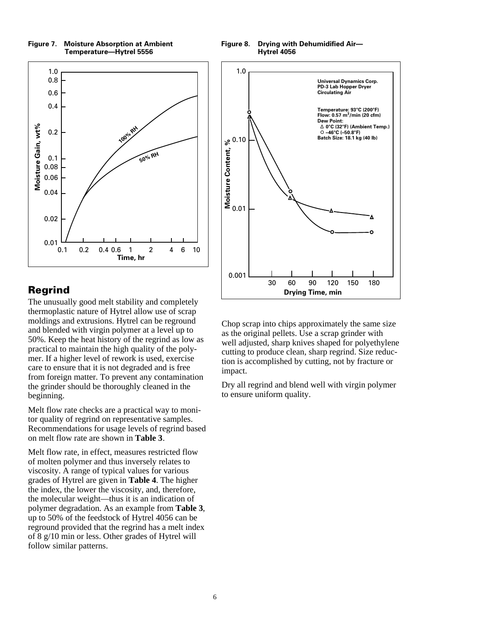

#### **Figure 7. Moisture Absorption at Ambient Temperature—Hytrel 5556**

## Regrind

The unusually good melt stability and completely thermoplastic nature of Hytrel allow use of scrap moldings and extrusions. Hytrel can be reground and blended with virgin polymer at a level up to 50%. Keep the heat history of the regrind as low as practical to maintain the high quality of the polymer. If a higher level of rework is used, exercise care to ensure that it is not degraded and is free from foreign matter. To prevent any contamination the grinder should be thoroughly cleaned in the beginning.

Melt flow rate checks are a practical way to monitor quality of regrind on representative samples. Recommendations for usage levels of regrind based on melt flow rate are shown in **Table 3**.

Melt flow rate, in effect, measures restricted flow of molten polymer and thus inversely relates to viscosity. A range of typical values for various grades of Hytrel are given in **Table 4**. The higher the index, the lower the viscosity, and, therefore, the molecular weight—thus it is an indication of polymer degradation. As an example from **Table 3**, up to 50% of the feedstock of Hytrel 4056 can be reground provided that the regrind has a melt index of 8 g/10 min or less. Other grades of Hytrel will follow similar patterns.

**Figure 8. Drying with Dehumidified Air— Hytrel 4056**



Chop scrap into chips approximately the same size as the original pellets. Use a scrap grinder with well adjusted, sharp knives shaped for polyethylene cutting to produce clean, sharp regrind. Size reduction is accomplished by cutting, not by fracture or impact.

Dry all regrind and blend well with virgin polymer to ensure uniform quality.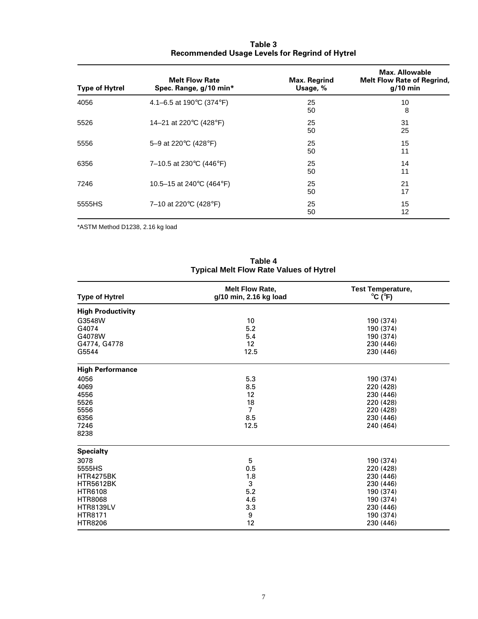| <b>Type of Hytrel</b> | <b>Melt Flow Rate</b><br>Spec. Range, g/10 min* | <b>Max. Regrind</b><br>Usage, % | Max. Allowable<br><b>Melt Flow Rate of Regrind,</b><br>$g/10$ min |
|-----------------------|-------------------------------------------------|---------------------------------|-------------------------------------------------------------------|
| 4056                  | 4.1–6.5 at 190 $\degree$ C (374 $\degree$ F)    | 25<br>50                        | 10<br>8                                                           |
| 5526                  | 14-21 at 220°C (428°F)                          | 25<br>50                        | 31<br>25                                                          |
| 5556                  | 5-9 at 220°C (428°F)                            | 25<br>50                        | 15<br>11                                                          |
| 6356                  | 7–10.5 at 230 $\degree$ C (446 $\degree$ F)     | 25<br>50                        | 14<br>11                                                          |
| 7246                  | 10.5–15 at 240 $\degree$ C (464 $\degree$ F)    | 25<br>50                        | 21<br>17                                                          |
| 5555HS                | 7-10 at 220°C (428°F)                           | 25<br>50                        | 15<br>12                                                          |

### **Table 3 Recommended Usage Levels for Regrind of Hytrel**

\*ASTM Method D1238, 2.16 kg load

| <b>Type of Hytrel</b>    | <b>Melt Flow Rate,</b><br>g/10 min, 2.16 kg load | <b>Test Temperature,</b><br>$^{\circ}$ C ( $^{\circ}$ F) |
|--------------------------|--------------------------------------------------|----------------------------------------------------------|
| <b>High Productivity</b> |                                                  |                                                          |
| G3548W                   | 10                                               | 190 (374)                                                |
| G4074                    | 5.2                                              | 190 (374)                                                |
| G4078W                   | 5.4                                              | 190 (374)                                                |
| G4774, G4778             | 12                                               | 230 (446)                                                |
| G5544                    | 12.5                                             | 230 (446)                                                |
| <b>High Performance</b>  |                                                  |                                                          |
| 4056                     | 5.3                                              | 190 (374)                                                |
| 4069                     | 8.5                                              | 220 (428)                                                |
| 4556                     | 12                                               | 230 (446)                                                |
| 5526                     | 18                                               | 220 (428)                                                |
| 5556                     | $\overline{7}$                                   | 220 (428)                                                |
| 6356                     | 8.5                                              | 230 (446)                                                |
| 7246                     | 12.5                                             | 240 (464)                                                |
| 8238                     |                                                  |                                                          |
| <b>Specialty</b>         |                                                  |                                                          |
| 3078                     | 5                                                | 190 (374)                                                |
| 5555HS                   | 0.5                                              | 220 (428)                                                |
| <b>HTR4275BK</b>         | 1.8                                              | 230 (446)                                                |
| <b>HTR5612BK</b>         | 3                                                | 230 (446)                                                |
| <b>HTR6108</b>           | 5.2                                              | 190 (374)                                                |
| <b>HTR8068</b>           | 4.6                                              | 190 (374)                                                |
| <b>HTR8139LV</b>         | 3.3                                              | 230 (446)                                                |
| HTR8171                  | 9                                                | 190 (374)                                                |
| <b>HTR8206</b>           | 12                                               | 230 (446)                                                |

**Table 4 Typical Melt Flow Rate Values of Hytrel**